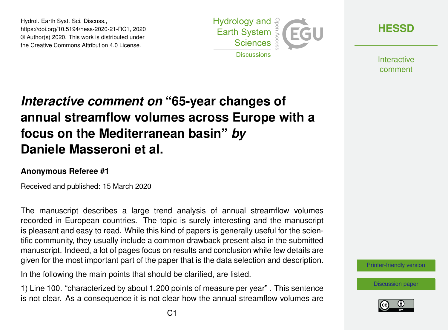Hydrol. Earth Syst. Sci. Discuss., https://doi.org/10.5194/hess-2020-21-RC1, 2020 © Author(s) 2020. This work is distributed under the Creative Commons Attribution 4.0 License.



**[HESSD](https://www.hydrol-earth-syst-sci-discuss.net/)**

**Interactive** comment

## *Interactive comment on* **"65-year changes of annual streamflow volumes across Europe with a focus on the Mediterranean basin"** *by* **Daniele Masseroni et al.**

## **Anonymous Referee #1**

Received and published: 15 March 2020

The manuscript describes a large trend analysis of annual streamflow volumes recorded in European countries. The topic is surely interesting and the manuscript is pleasant and easy to read. While this kind of papers is generally useful for the scientific community, they usually include a common drawback present also in the submitted manuscript. Indeed, a lot of pages focus on results and conclusion while few details are given for the most important part of the paper that is the data selection and description.

In the following the main points that should be clarified, are listed.

1) Line 100. "characterized by about 1.200 points of measure per year" . This sentence is not clear. As a consequence it is not clear how the annual streamflow volumes are [Printer-friendly version](https://www.hydrol-earth-syst-sci-discuss.net/hess-2020-21/hess-2020-21-RC1-print.pdf)

[Discussion paper](https://www.hydrol-earth-syst-sci-discuss.net/hess-2020-21)